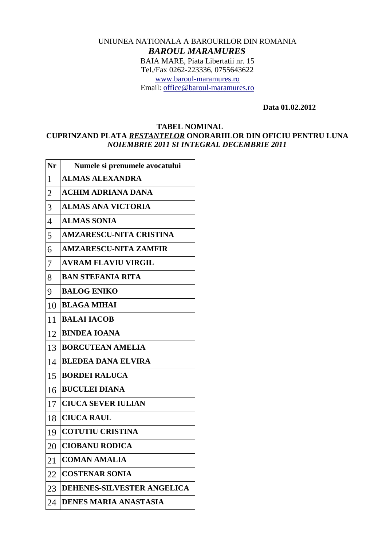## UNIUNEA NATIONALA A BAROURILOR DIN ROMANIA *BAROUL MARAMURES* BAIA MARE, Piata Libertatii nr. 15 Tel./Fax 0262-223336, 0755643622 [www.baroul-maramures.ro](http://www.baroul-maramures.ro/) Email: [office@baroul-maramures.ro](mailto:office@baroul-maramures.ro)

 **Data 01.02.2012**

## **TABEL NOMINAL CUPRINZAND PLATA** *RESTANTELOR* **ONORARIILOR DIN OFICIU PENTRU LUNA** *NOIEMBRIE 2011 SI INTEGRAL DECEMBRIE 2011*

| Nr             | Numele si prenumele avocatului    |
|----------------|-----------------------------------|
| 1              | <b>ALMAS ALEXANDRA</b>            |
| $\overline{2}$ | <b>ACHIM ADRIANA DANA</b>         |
| З              | <b>ALMAS ANA VICTORIA</b>         |
| $\overline{4}$ | <b>ALMAS SONIA</b>                |
| 5              | <b>AMZARESCU-NITA CRISTINA</b>    |
| 6              | <b>AMZARESCU-NITA ZAMFIR</b>      |
| 7              | <b>AVRAM FLAVIU VIRGIL</b>        |
| 8              | <b>BAN STEFANIA RITA</b>          |
| 9              | <b>BALOG ENIKO</b>                |
| 10             | <b>BLAGA MIHAI</b>                |
| 11             | <b>BALAI IACOB</b>                |
| 12             | <b>BINDEA IOANA</b>               |
| 13             | <b>BORCUTEAN AMELIA</b>           |
| 14             | <b>BLEDEA DANA ELVIRA</b>         |
| 15             | <b>BORDEI RALUCA</b>              |
| 16             | <b>BUCULEI DIANA</b>              |
| 17             | <b>CIUCA SEVER IULIAN</b>         |
| 18             | <b>CIUCA RAUL</b>                 |
| 19             | <b>COTUTIU CRISTINA</b>           |
| 20             | <b>CIOBANU RODICA</b>             |
| 21             | <b>COMAN AMALIA</b>               |
| 22             | <b>COSTENAR SONIA</b>             |
| 23             | <b>DEHENES-SILVESTER ANGELICA</b> |
| 24             | <b>DENES MARIA ANASTASIA</b>      |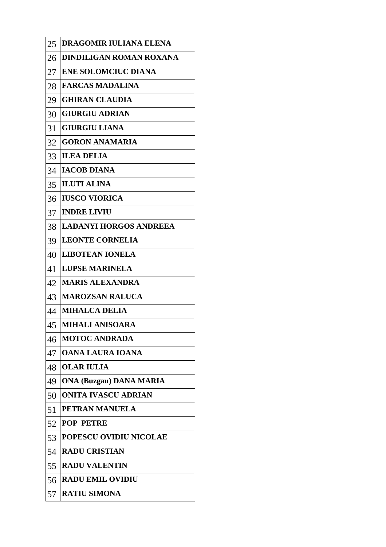| 25 | DRAGOMIR IULIANA ELENA        |
|----|-------------------------------|
| 26 | DINDILIGAN ROMAN ROXANA       |
| 27 | <b>ENE SOLOMCIUC DIANA</b>    |
| 28 | <b>FARCAS MADALINA</b>        |
| 29 | <b>GHIRAN CLAUDIA</b>         |
| 30 | <b>GIURGIU ADRIAN</b>         |
| 31 | <b>GIURGIU LIANA</b>          |
| 32 | <b>GORON ANAMARIA</b>         |
| 33 | <b>ILEA DELIA</b>             |
| 34 | <b>IACOB DIANA</b>            |
| 35 | <b>ILUTI ALINA</b>            |
| 36 | <b>IUSCO VIORICA</b>          |
| 37 | <b>INDRE LIVIU</b>            |
| 38 | <b>LADANYI HORGOS ANDREEA</b> |
| 39 | <b>LEONTE CORNELIA</b>        |
| 40 | <b>LIBOTEAN IONELA</b>        |
| 41 | <b>LUPSE MARINELA</b>         |
| 42 | <b>MARIS ALEXANDRA</b>        |
| 43 | <b>MAROZSAN RALUCA</b>        |
| 44 | <b>MIHALCA DELIA</b>          |
| 45 | MIHALI ANISOARA               |
| 46 | <b>MOTOC ANDRADA</b>          |
| 47 | <b>OANA LAURA IOANA</b>       |
| 48 | <b>OLAR IULIA</b>             |
| 49 | ONA (Buzgau) DANA MARIA       |
| 50 | ONITA IVASCU ADRIAN           |
| 51 | PETRAN MANUELA                |
| 52 | <b>POP PETRE</b>              |
| 53 | <b>POPESCU OVIDIU NICOLAE</b> |
| 54 | <b>RADU CRISTIAN</b>          |
| 55 | <b>RADU VALENTIN</b>          |
| 56 | <b>RADU EMIL OVIDIU</b>       |
| 57 | <b>RATIU SIMONA</b>           |